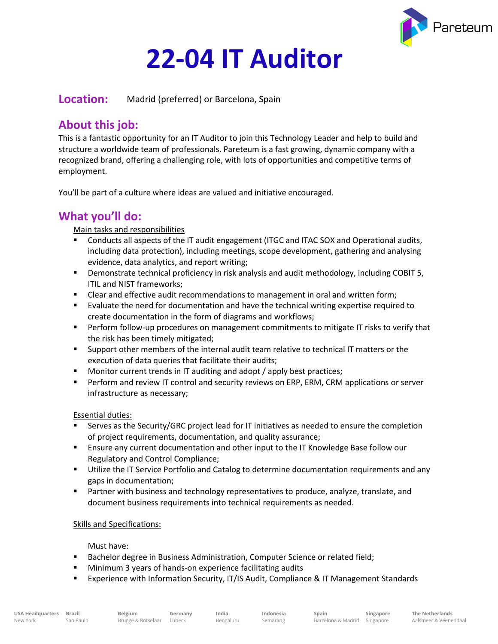

# **22-04 IT Auditor**

**Location:** Madrid (preferred) or Barcelona, Spain

# **About this job:**

This is a fantastic opportunity for an IT Auditor to join this Technology Leader and help to build and structure a worldwide team of professionals. Pareteum is a fast growing, dynamic company with a recognized brand, offering a challenging role, with lots of opportunities and competitive terms of employment.

You'll be part of a culture where ideas are valued and initiative encouraged.

## **What you'll do:**

#### Main tasks and responsibilities

- Conducts all aspects of the IT audit engagement (ITGC and ITAC SOX and Operational audits, including data protection), including meetings, scope development, gathering and analysing evidence, data analytics, and report writing;
- **•** Demonstrate technical proficiency in risk analysis and audit methodology, including COBIT 5, ITIL and NIST frameworks;
- **EXECT** Clear and effective audit recommendations to management in oral and written form;
- Evaluate the need for documentation and have the technical writing expertise required to create documentation in the form of diagrams and workflows;
- Perform follow-up procedures on management commitments to mitigate IT risks to verify that the risk has been timely mitigated;
- **EXECT** Support other members of the internal audit team relative to technical IT matters or the execution of data queries that facilitate their audits;
- Monitor current trends in IT auditing and adopt / apply best practices;
- Perform and review IT control and security reviews on ERP, ERM, CRM applications or server infrastructure as necessary;

#### Essential duties:

- Serves as the Security/GRC project lead for IT initiatives as needed to ensure the completion of project requirements, documentation, and quality assurance;
- **E** Ensure any current documentation and other input to the IT Knowledge Base follow our Regulatory and Control Compliance;
- **■** Utilize the IT Service Portfolio and Catalog to determine documentation requirements and any gaps in documentation;
- Partner with business and technology representatives to produce, analyze, translate, and document business requirements into technical requirements as needed.

#### Skills and Specifications:

#### Must have:

- Bachelor degree in Business Administration, Computer Science or related field;
- Minimum 3 years of hands-on experience facilitating audits

**Germany**

■ Experience with Information Security, IT/IS Audit, Compliance & IT Management Standards

**Singapore**